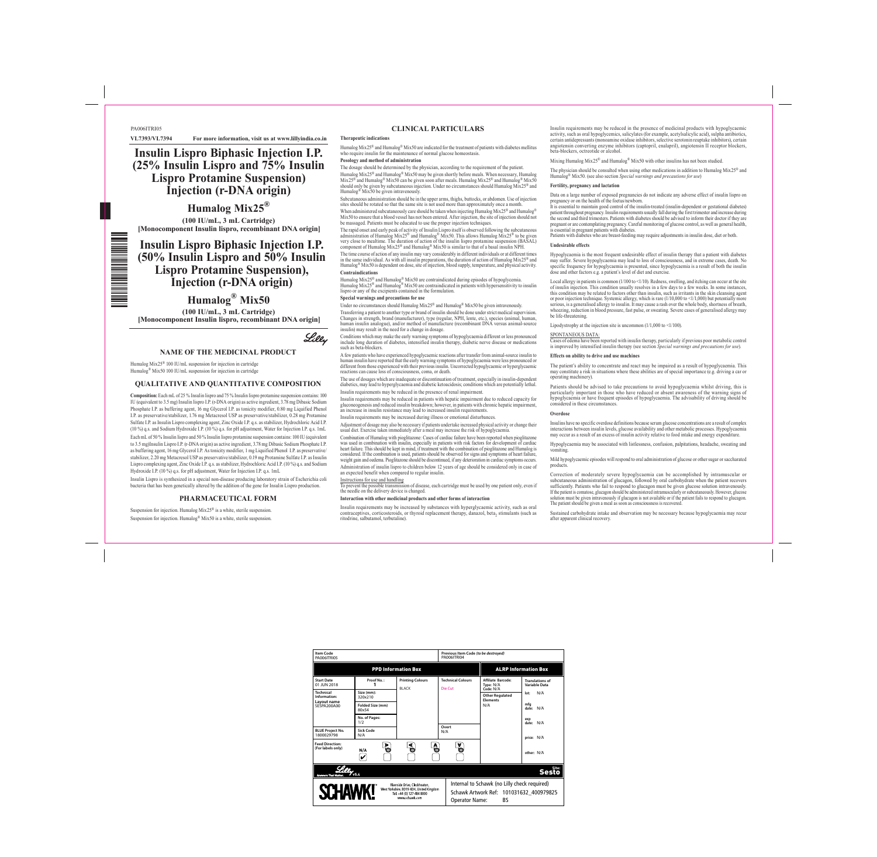### **NAME OF THE MEDICINAL PRODUCT**

Humalog Mix25® 100 IU/mL suspension for injection in cartridge Humalog® Mix50 100 IU/mL suspension for injection in cartridge

#### **QUALITATIVE AND QUANTITATIVE COMPOSITION**

**Composition:** Each mL of 25 % Insulin lispro and 75 % Insulin lispro protamine suspension contains: 100 IU (equivalent to 3.5 mg) Insulin lispro I.P. (r-DNA origin) as active ingredient, 3.78 mg Dibasic Sodium Phosphate I.P. as buffering agent, 16 mg Glycerol I.P. as tonicity modifier, 0.80 mg Liquified Phenol I.P. as preservative/stabilizer, 1.76 mg Metacresol USP as preservative/stabilizer, 0.28 mg Protamine Sulfate I.P. as Insulin Lispro complexing agent, Zinc Oxide I.P. q.s. as stabilizer, Hydrochloric Acid I.P. (10 %) q.s. and Sodium Hydroxide I.P. (10 %) q.s. for pH adjustment, Water for Injection I.P. q.s. 1mL Each mL of 50 % Insulin lispro and 50 % Insulin lispro protamine suspension contains: 100 IU (equivalent to 3.5 mg)Insulin Lispro I.P. (r-DNA origin) as active ingredient, 3.78 mg Dibasic Sodium Phosphate I.P. as buffering agent, 16 mg Glycerol I.P. As tonicity modifier, 1 mg Liquified Phenol I.P. as preservative/ stabilizer, 2.20 mg Metacresol USP as preservative/stabilizer, 0.19 mg Protamine Sulfate I.P. as Insulin Lispro complexing agent, Zinc Oxide I.P. q.s. as stabilizer, Hydrochloric Acid I.P. (10 %) q.s. and Sodium Hydroxide I.P. (10 %) q.s. for pH adjustment, Water for Injection I.P. q.s. 1mL

Humalog Mix25® and Humalog® Mix50 are indicated for the treatment of patients with diabetes mellitus who require insulin for the maintenance of normal glucose homeostasis.

Insulin Lispro is synthesized in a special non-disease producing laboratory strain of Escherichia coli bacteria that has been genetically altered by the addition of the gene for Insulin Lispro production.

#### **PHARMACEUTICAL FORM**

Suspension for injection. Humalog Mix25® is a white, sterile suspension. Suspension for injection. Humalog® Mix50 is a white, sterile suspension.

## **CLINICAL PARTICULARS**

#### **Therapeutic indication**

iponent of Humalog Mix25® and Humalog® Mix50 is similar to that of a basal insulin NPH. The time course of action of any insulin may vary considerably in different individuals or at different times in the same individual. As with all insulin preparations, the duration of action of Humalog Mix25® and Humalog<sup>®</sup> Mix50 is dependent on dose, site of injection, blood supply, temperature, and physical activity. **Contraindications**

**Posology and method of administration**

The dosage should be determined by the physician, according to the requirement of the patient. Humalog Mix25® and Humalog® Mix50 may be given shortly before meals. When necessary, Humalog Mix25® and Humalog® Mix50 can be given soon after meals. Humalog Mix25® and Humalog® Mix50<br>should only be given by subcutaneous injection. Under no circumstances should Humalog Mix25® and Humalog® Mix50 be given intravenously.

Subcutaneous administration should be in the upper arms, thighs, buttocks, or abdomen. Use of injection sites should be rotated so that the same site is not used more than approximately once a month. When administered subcutaneously care should be taken when injecting Humalog Mix25<sup>®</sup> and Humalog<sup>®</sup> Mix50 to ensure that a blood vessel has not been entered. After injection, the site of injection should not

Combination of Humalog with pioglitazone: Cases of cardiac failure have been reported when pioglitazone was used in combination with insulin, especially in patients with risk factors for development of cardiac heart failure. This should be kept in mind, if treatment with the combination of pioglitazone and Humalog is considered. If the combination is used, patients should be observed for signs and symptoms of heart failure, weight gain and oedema. Pioglitazone should be discontinued, if any deterioration in cardiac symptoms occurs. Administration of insulin lispro to children below 12 years of age should be considered only in case of an expected benefit when compared to regular insul

be massaged. Patients must be educated to use the proper injection techniques. The rapid onset and early peak of activity of Insulin Lispro itself is observed following the subcutaneous administration of Humalog Mix25® and Humalog® Mix50. This allows Humalog Mix25® to be given very close to mealtime. The duration of action of the insulin lispro protamine suspension (BASAL)

Insulin requirements may be increased by substances with hyperglycaemic activity, such as oral contraceptives, corticosteroids, or thyroid replacement therapy, danazol, beta<sub>2</sub> stimulants (such as ritodrine, salbutamol, terbutaline).

Humalog Mix25® and Humalog® Mix50 are contraindicated during episodes of hypoglycemia. Humalog Mix25® and Humalog® Mix50 are contraindicated in patients with hypersensitivity to insulin

lispro or any of the excipients contained in the formulation. **Special warnings and precautions for use**

Under no circumstances should Humalog Mix25® and Humalog® Mix50 be given intravenously. Transferring a patient to another type or brand of insulin should be done under strict medical supervision. Changes in strength, brand (manufacturer), type (regular, NPH, lente, etc.), species (animal, human, human insulin analogue), and/or method of manufacture (recombinant DNA versus animal-source insulin) may result in the need for a change in dosage.

Conditions which may make the early warning symptoms of hypoglycaemia different or less pronounced include long duration of diabetes, intensified insulin therapy, diabetic nerve disease or medications such as beta-blockers.

Local allergy in patients is common  $(1/100 \text{ to } 1/10)$ . Redness, swelling, and itching can occur at the site of insulin injection. This condition usually resolves in a few days to a few weeks. In some instances, this condition may be related to factors other than insulin, such as irritants in the skin cleansing agent or poor injection technique. Systemic allergy, which is rare (1/10,000 to <1/1,000) but potentially more serious, is a generalised allergy to insulin. It may cause a rash over the whole body, shortness of breath, wheezing, reduction in blood pressure, fast pulse, or sweating. Severe cases of generalised allergy may be life-threatening.

Lipodystrophy at the injection site is uncommon  $(1/1,000 \text{ to } \le 1/100)$ . SPONTANEOUS DATA:

A few patients who have experienced hypoglycaemic reactions after transfer from animal-source insulin to human insulin have reported that the early warning symptoms of hypoglycaemia were less pronounced or different from those experienced with their previous insulin. Uncorrected hypoglycaemic or hyperglycaemic reactions can cause loss of consciousness, coma, or death.

The use of dosages which are inadequate or discontinuation of treatment, especially in insulin-dependent diabetics, may lead to hyperglycaemia and diabetic ketoacidosis; conditions which are potentially lethal. Insulin requirements may be reduced in the presence of renal impairment.

Insulin requirements may be reduced in patients with hepatic impairment due to reduced capacity for gluconeogenesis and reduced insulin breakdown; however, in patients with chronic hepatic impairment, an increase in insulin resistance may lead to increased insulin requirements.

Insulin requirements may be increased during illness or emotional disturbances.

Adjustment of dosage may also be necessary if patients undertake increased physical activity or change their usual diet. Exercise taken immediately after a meal may increase the risk of hypoglycaemia.

PA006ITRI05 **VL7393/VL7394 For more information, visit us at www.lillyindia.co.in**

 $\equiv$ 

Instructions for use and handling To prevent the possible transmission of disease, each cartridge must be used by one patient only, even if the needle on the delivery device is changed.

**Interaction with other medicinal products and other forms of interaction**

Insulin requirements may be reduced in the presence of medicinal products with hypoglycaemic activity, such as oral hypoglycemics, salicylates (for example, acetylsalicylic acid), sulpha antibiotics, certain antidepressants (monoamine oxidase inhibitors, selective serotonin reuptake inhibitors), certain angiotensin converting enzyme inhibitors (captopril, enalapril), angiotensin II receptor blockers, beta-blockers, octreotide or alcohol.

Mixing Humalog Mix25<sup>®</sup> and Humalog<sup>®</sup> Mix50 with other insulins has not been studied.

The physician should be consulted when using other medications in addition to Humalog Mix25® and Humalog® Mix50. (see also section *Special warnings and precautions for use*)

#### **Fertility, pregnancy and lactation**

Data on a large number of exposed pregnancies do not indicate any adverse effect of insulin lispro on pregnancy or on the health of the foetus/newborn. It is essential to maintain good control of the insulin-treated (insulin-dependent or gestational diabetes)

patient throughout pregnancy. Insulin requirements usually fall during the first trimester and increase during the second and third trimesters. Patients with diabetes should be advised to inform their doctor if they are pregnant or are contemplating pregnancy. Careful monitoring of glucose control, as well as general health, is essential in pregnant patients with diabetes. Patients with diabetes who are breast-feeding may require adjustments in insulin dose, diet or both.

#### **Undesirable effects**

Hypoglycaemia is the most frequent undesirable effect of insulin therapy that a patient with diabetes may suffer. Severe hypoglycaemia may lead to loss of consciousness, and in extreme cases, death. No specific frequency for hypoglycaemia is presented, since hypoglycaemia is a result of both the insulin dose and other factors e.g. a patient`s level of diet and exercise.

Cases of edema have been reported with insulin therapy, particularly if previous poor metabolic control is improved by intensified insulin therapy (see section *Special warnings and precautions for use*).

# **Effects on ability to drive and use machines**

The patient's ability to concentrate and react may be impaired as a result of hypoglycaemia. This may constitute a risk in situations where these abilities are of special importance (e.g. driving a car or operating machinery).

Patients should be advised to take precautions to avoid hypoglycaemia whilst driving, this is particularly important in those who have reduced or absent awareness of the warning signs of hypoglycaemia or have frequent episodes of hypoglycaemia. The advisability of driving should be considered in these circumstances.

### **Overdose**

Insulins have no specific overdose definitions because serum glucose concentrations are a result of complex interactions between insulin levels, glucose availability and other metabolic processes. Hypoglycaemia may occur as a result of an excess of insulin activity relative to food intake and energy expenditure.

Hypoglycaemia may be associated with listlessness, confusion, palpitations, headache, sweating and

vomiting.

Mild hypoglycaemic episodes will respond to oral administration of glucose or other sugar or saccharated products.

Correction of moderately severe hypoglycaemia can be accomplished by intramuscular or subcutaneous administration of glucagon, followed by oral carbohydrate when the patient recovers sufficiently. Patients who fail to respond to glucagon must be given glucose solution intravenously. If the patient is comatose, glucagon should be administered intramuscularly or subcutaneously. However, glucose solution must be given intravenously if glucagon is not available or if the patient fails to respond to glucagon. The patient should be given a meal as soon as consciousness is recovered.

Sustained carbohydrate intake and observation may be necessary because hypoglycaemia may recur after apparent clinical recovery.

# **Insulin Lispro Biphasic Injection I.P. (25% Insulin Lispro and 75% Insulin Lispro Protamine Suspension) Injection (r-DNA origin)**

**Humalog Mix25® (100 IU/mL, 3 mL Cartridge) [Monocomponent Insulin lispro, recombinant DNA origin]**

# **Insulin Lispro Biphasic Injection I.P. (50% Insulin Lispro and 50% Insulin Lispro Protamine Suspension), Injection (r-DNA origin)**

**Humalog® Mix50 (100 IU/mL, 3 mL Cartridge) [Monocomponent Insulin lispro, recombinant DNA origin]**

# Lilly

| Item Code<br>PA006ITRI05                                                                                                                   |                           |                                         | PA006ITRI04                         | Previous Item Code (to be destroyed)                            |                                         |  |
|--------------------------------------------------------------------------------------------------------------------------------------------|---------------------------|-----------------------------------------|-------------------------------------|-----------------------------------------------------------------|-----------------------------------------|--|
|                                                                                                                                            |                           | <b>PPD Information Box</b>              |                                     | <b>ALRP Information Box</b>                                     |                                         |  |
| <b>Start Date</b><br>01 JUN 2018                                                                                                           | Proof No.:                | <b>Printing Colours</b><br><b>BLACK</b> | <b>Technical Colours</b><br>Die Cut | Affiliate Barcode:<br>Type: N/A<br>Code: N/A                    | <b>Translations of</b><br>Variable Data |  |
| <b>Technical</b><br>Information:<br>Layout name<br><b>SESPA200A00</b>                                                                      | Size (mm):<br>320x210     |                                         |                                     | <b>Other Regulated</b><br><b>Elements</b>                       | N/A<br>lot:                             |  |
|                                                                                                                                            | Folded Size (mm)<br>80x54 |                                         |                                     | N/A                                                             | mfa<br>N/A<br>date:                     |  |
|                                                                                                                                            | No. of Pages:<br>1/2      |                                         |                                     |                                                                 | exp<br>N/A<br>date:                     |  |
| <b>BLUE Project No.</b><br>1800029798                                                                                                      | Sick Code<br>N/A          |                                         | Overt<br>N/A                        |                                                                 | price: N/A                              |  |
| <b>Feed Direction:</b><br>(For labels only)                                                                                                | Þ.<br>o<br>N/A<br>V       | ⋖                                       | A.<br>a<br>O<br>O                   |                                                                 | other: N/A                              |  |
| <b>Answers That Matter.</b>                                                                                                                | v5.4                      |                                         |                                     |                                                                 | <b>Sesto</b>                            |  |
| Riverside Drive, Cleckheaton,<br><b>SCHAWK!</b><br>West Yorkshire, BD19 4DH, United Kingdom<br>Tel: +44 (0) 127 484 8000<br>www.schawk.com |                           |                                         |                                     | Internal to Schawk (no Lilly check required)                    |                                         |  |
|                                                                                                                                            |                           |                                         |                                     | Schawk Artwork Ref: 101031632 400979825<br>Operator Name:<br>ВS |                                         |  |